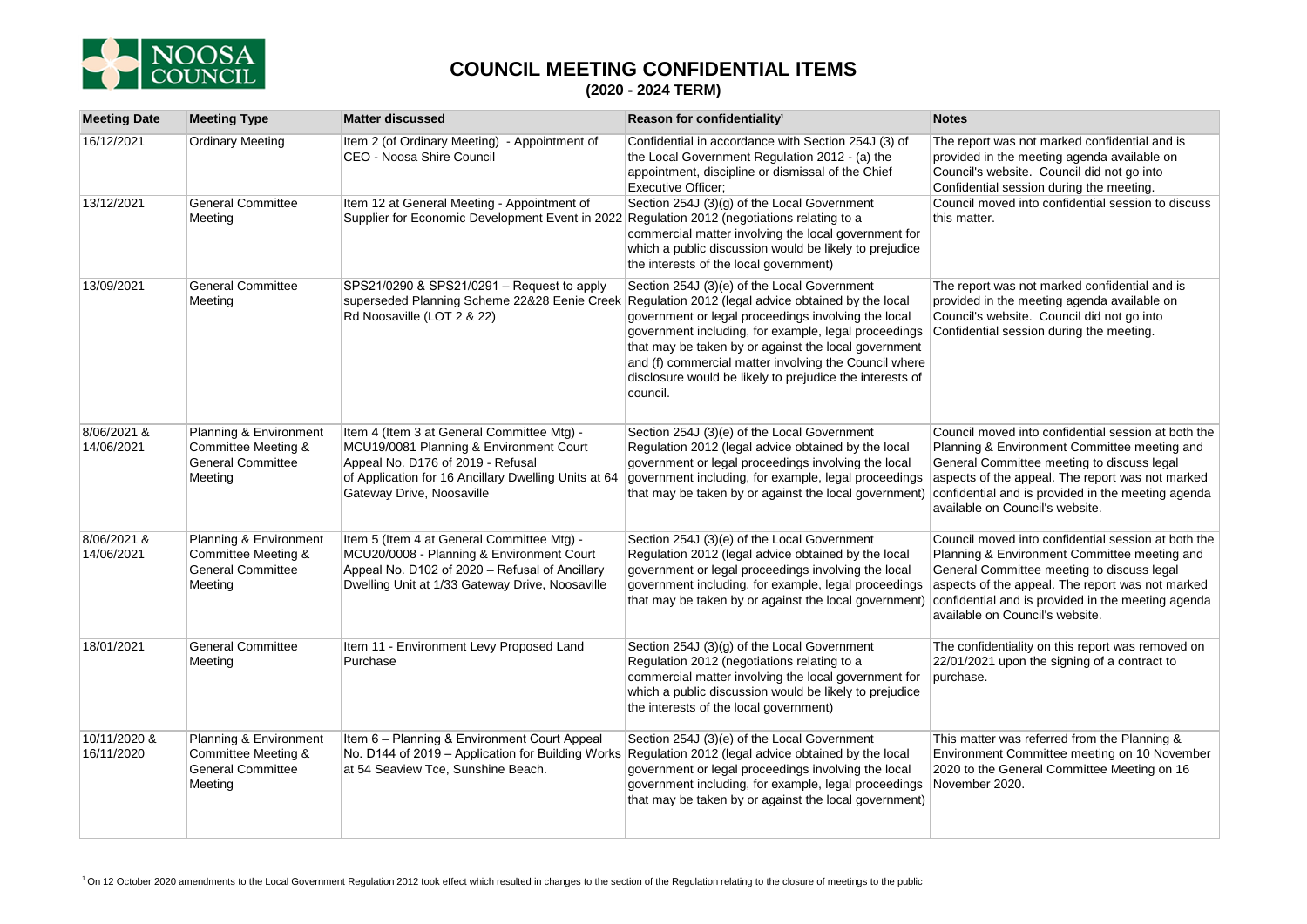

## **COUNCIL MEETING CONFIDENTIAL ITEMS**

## **(2020 - 2024 TERM)**

| <b>Meeting Date</b>        | <b>Meeting Type</b>                                                                  | <b>Matter discussed</b>                                                                                                                                                                                         | Reason for confidentiality <sup>1</sup>                                                                                                                                                                                                                                                                                                                                                                                                                 | <b>Notes</b>                                                                                                                                                                                                                                                                                   |
|----------------------------|--------------------------------------------------------------------------------------|-----------------------------------------------------------------------------------------------------------------------------------------------------------------------------------------------------------------|---------------------------------------------------------------------------------------------------------------------------------------------------------------------------------------------------------------------------------------------------------------------------------------------------------------------------------------------------------------------------------------------------------------------------------------------------------|------------------------------------------------------------------------------------------------------------------------------------------------------------------------------------------------------------------------------------------------------------------------------------------------|
| 16/12/2021                 | <b>Ordinary Meeting</b>                                                              | Item 2 (of Ordinary Meeting) - Appointment of<br>CEO - Noosa Shire Council                                                                                                                                      | Confidential in accordance with Section 254J (3) of<br>the Local Government Regulation 2012 - (a) the<br>appointment, discipline or dismissal of the Chief<br>Executive Officer;                                                                                                                                                                                                                                                                        | The report was not marked confidential and is<br>provided in the meeting agenda available on<br>Council's website. Council did not go into<br>Confidential session during the meeting.                                                                                                         |
| 13/12/2021                 | General Committee<br>Meeting                                                         | Item 12 at General Meeting - Appointment of<br>Supplier for Economic Development Event in 2022 Regulation 2012 (negotiations relating to a                                                                      | Section 254J (3)(g) of the Local Government<br>commercial matter involving the local government for<br>which a public discussion would be likely to prejudice<br>the interests of the local government)                                                                                                                                                                                                                                                 | Council moved into confidential session to discuss<br>this matter.                                                                                                                                                                                                                             |
| 13/09/2021                 | <b>General Committee</b><br>Meeting                                                  | SPS21/0290 & SPS21/0291 - Request to apply<br>Rd Noosaville (LOT 2 & 22)                                                                                                                                        | Section 254J (3)(e) of the Local Government<br>superseded Planning Scheme 22&28 Eenie Creek Regulation 2012 (legal advice obtained by the local<br>government or legal proceedings involving the local<br>government including, for example, legal proceedings<br>that may be taken by or against the local government<br>and (f) commercial matter involving the Council where<br>disclosure would be likely to prejudice the interests of<br>council. | The report was not marked confidential and is<br>provided in the meeting agenda available on<br>Council's website. Council did not go into<br>Confidential session during the meeting.                                                                                                         |
| 8/06/2021 &<br>14/06/2021  | Planning & Environment<br>Committee Meeting &<br><b>General Committee</b><br>Meeting | Item 4 (Item 3 at General Committee Mtg) -<br>MCU19/0081 Planning & Environment Court<br>Appeal No. D176 of 2019 - Refusal<br>of Application for 16 Ancillary Dwelling Units at 64<br>Gateway Drive, Noosaville | Section 254J (3)(e) of the Local Government<br>Regulation 2012 (legal advice obtained by the local<br>government or legal proceedings involving the local<br>government including, for example, legal proceedings<br>that may be taken by or against the local government)                                                                                                                                                                              | Council moved into confidential session at both the<br>Planning & Environment Committee meeting and<br>General Committee meeting to discuss legal<br>aspects of the appeal. The report was not marked<br>confidential and is provided in the meeting agenda<br>available on Council's website. |
| 8/06/2021 &<br>14/06/2021  | Planning & Environment<br>Committee Meeting &<br><b>General Committee</b><br>Meeting | Item 5 (Item 4 at General Committee Mtg) -<br>MCU20/0008 - Planning & Environment Court<br>Appeal No. D102 of 2020 - Refusal of Ancillary<br>Dwelling Unit at 1/33 Gateway Drive, Noosaville                    | Section 254J (3)(e) of the Local Government<br>Regulation 2012 (legal advice obtained by the local<br>government or legal proceedings involving the local<br>government including, for example, legal proceedings<br>that may be taken by or against the local government)                                                                                                                                                                              | Council moved into confidential session at both the<br>Planning & Environment Committee meeting and<br>General Committee meeting to discuss legal<br>aspects of the appeal. The report was not marked<br>confidential and is provided in the meeting agenda<br>available on Council's website. |
| 18/01/2021                 | <b>General Committee</b><br>Meeting                                                  | Item 11 - Environment Levy Proposed Land<br>Purchase                                                                                                                                                            | Section 254J (3)(g) of the Local Government<br>Regulation 2012 (negotiations relating to a<br>commercial matter involving the local government for<br>which a public discussion would be likely to prejudice<br>the interests of the local government)                                                                                                                                                                                                  | The confidentiality on this report was removed on<br>22/01/2021 upon the signing of a contract to<br>burchase.                                                                                                                                                                                 |
| 10/11/2020 &<br>16/11/2020 | Planning & Environment<br>Committee Meeting &<br><b>General Committee</b><br>Meeting | Item 6 - Planning & Environment Court Appeal<br>at 54 Seaview Tce, Sunshine Beach.                                                                                                                              | Section 254J (3)(e) of the Local Government<br>No. D144 of 2019 - Application for Building Works Regulation 2012 (legal advice obtained by the local<br>government or legal proceedings involving the local<br>government including, for example, legal proceedings<br>that may be taken by or against the local government)                                                                                                                            | This matter was referred from the Planning &<br>Environment Committee meeting on 10 November<br>2020 to the General Committee Meeting on 16<br>November 2020.                                                                                                                                  |